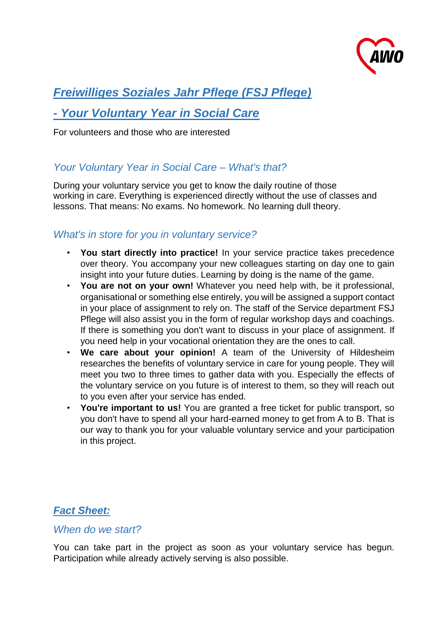

# *Freiwilliges Soziales Jahr Pflege (FSJ Pflege)*

## *- Your Voluntary Year in Social Care*

For volunteers and those who are interested

### *Your Voluntary Year in Social Care – What's that?*

During your voluntary service you get to know the daily routine of those working in care. Everything is experienced directly without the use of classes and lessons. That means: No exams. No homework. No learning dull theory.

## *What's in store for you in voluntary service?*

- **You start directly into practice!** In your service practice takes precedence over theory. You accompany your new colleagues starting on day one to gain insight into your future duties. Learning by doing is the name of the game.
- **You are not on your own!** Whatever you need help with, be it professional, organisational or something else entirely, you will be assigned a support contact in your place of assignment to rely on. The staff of the Service department FSJ Pflege will also assist you in the form of regular workshop days and coachings. If there is something you don't want to discuss in your place of assignment. If you need help in your vocational orientation they are the ones to call.
- **We care about your opinion!** A team of the University of Hildesheim researches the benefits of voluntary service in care for young people. They will meet you two to three times to gather data with you. Especially the effects of the voluntary service on you future is of interest to them, so they will reach out to you even after your service has ended.
- **You're important to us!** You are granted a free ticket for public transport, so you don't have to spend all your hard-earned money to get from A to B. That is our way to thank you for your valuable voluntary service and your participation in this project.

### *Fact Sheet:*

#### *When do we start?*

You can take part in the project as soon as your voluntary service has begun. Participation while already actively serving is also possible.